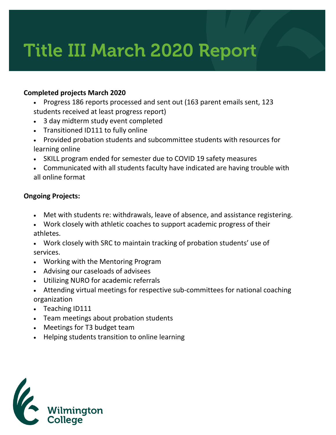# Title III March 2020 Report

## **Completed projects March 2020**

- Progress 186 reports processed and sent out (163 parent emails sent, 123 students received at least progress report)
- 3 day midterm study event completed
- Transitioned ID111 to fully online
- Provided probation students and subcommittee students with resources for learning online
- SKILL program ended for semester due to COVID 19 safety measures
- Communicated with all students faculty have indicated are having trouble with all online format

## **Ongoing Projects:**

- Met with students re: withdrawals, leave of absence, and assistance registering.
- Work closely with athletic coaches to support academic progress of their athletes.
- Work closely with SRC to maintain tracking of probation students' use of services.
- Working with the Mentoring Program
- Advising our caseloads of advisees
- Utilizing NURO for academic referrals
- Attending virtual meetings for respective sub-committees for national coaching organization
- Teaching ID111
- Team meetings about probation students
- Meetings for T3 budget team
- Helping students transition to online learning

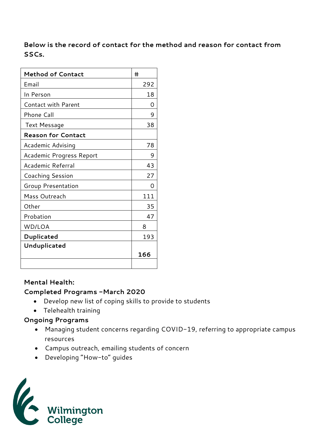## **Below is the record of contact for the method and reason for contact from SSCs.**

| <b>Method of Contact</b>   | #   |
|----------------------------|-----|
| Email                      | 292 |
| In Person                  | 18  |
| <b>Contact with Parent</b> | Ω   |
| Phone Call                 | 9   |
| <b>Text Message</b>        | 38  |
| <b>Reason for Contact</b>  |     |
| Academic Advising          | 78  |
| Academic Progress Report   | 9   |
| Academic Referral          | 43  |
| Coaching Session           | 27  |
| Group Presentation         | ∩   |
| Mass Outreach              | 111 |
| Other                      | 35  |
| Probation                  | 47  |
| WD/LOA                     | 8   |
| Duplicated                 | 193 |
| Unduplicated               |     |
|                            | 166 |
|                            |     |

#### **Mental Health:**

### **Completed Programs -March 2020**

- Develop new list of coping skills to provide to students
- Telehealth training

## **Ongoing Programs**

- Managing student concerns regarding COVID-19, referring to appropriate campus resources
- Campus outreach, emailing students of concern
- Developing "How-to" guides